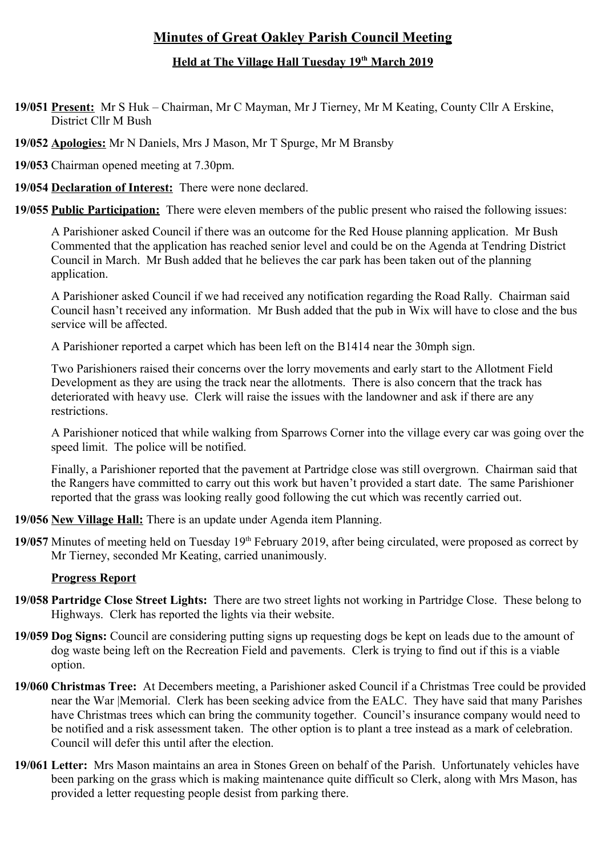# **Minutes of Great Oakley Parish Council Meeting**

## **Held at The Village Hall Tuesday 19th March 2019**

**19/051 Present:** Mr S Huk – Chairman, Mr C Mayman, Mr J Tierney, Mr M Keating, County Cllr A Erskine, District Cllr M Bush

**19/052 Apologies:** Mr N Daniels, Mrs J Mason, Mr T Spurge, Mr M Bransby

**19/053** Chairman opened meeting at 7.30pm.

**19/054 Declaration of Interest:** There were none declared.

**19/055 Public Participation:** There were eleven members of the public present who raised the following issues:

A Parishioner asked Council if there was an outcome for the Red House planning application. Mr Bush Commented that the application has reached senior level and could be on the Agenda at Tendring District Council in March. Mr Bush added that he believes the car park has been taken out of the planning application.

A Parishioner asked Council if we had received any notification regarding the Road Rally. Chairman said Council hasn't received any information. Mr Bush added that the pub in Wix will have to close and the bus service will be affected.

A Parishioner reported a carpet which has been left on the B1414 near the 30mph sign.

Two Parishioners raised their concerns over the lorry movements and early start to the Allotment Field Development as they are using the track near the allotments. There is also concern that the track has deteriorated with heavy use. Clerk will raise the issues with the landowner and ask if there are any restrictions.

A Parishioner noticed that while walking from Sparrows Corner into the village every car was going over the speed limit. The police will be notified.

Finally, a Parishioner reported that the pavement at Partridge close was still overgrown. Chairman said that the Rangers have committed to carry out this work but haven't provided a start date. The same Parishioner reported that the grass was looking really good following the cut which was recently carried out.

**19/056 New Village Hall:** There is an update under Agenda item Planning.

19/057 Minutes of meeting held on Tuesday 19<sup>th</sup> February 2019, after being circulated, were proposed as correct by Mr Tierney, seconded Mr Keating, carried unanimously.

## **Progress Report**

- **19/058 Partridge Close Street Lights:** There are two street lights not working in Partridge Close. These belong to Highways. Clerk has reported the lights via their website.
- **19/059 Dog Signs:** Council are considering putting signs up requesting dogs be kept on leads due to the amount of dog waste being left on the Recreation Field and pavements. Clerk is trying to find out if this is a viable option.
- **19/060 Christmas Tree:** At Decembers meeting, a Parishioner asked Council if a Christmas Tree could be provided near the War |Memorial. Clerk has been seeking advice from the EALC. They have said that many Parishes have Christmas trees which can bring the community together. Council's insurance company would need to be notified and a risk assessment taken. The other option is to plant a tree instead as a mark of celebration. Council will defer this until after the election.
- **19/061 Letter:** Mrs Mason maintains an area in Stones Green on behalf of the Parish. Unfortunately vehicles have been parking on the grass which is making maintenance quite difficult so Clerk, along with Mrs Mason, has provided a letter requesting people desist from parking there.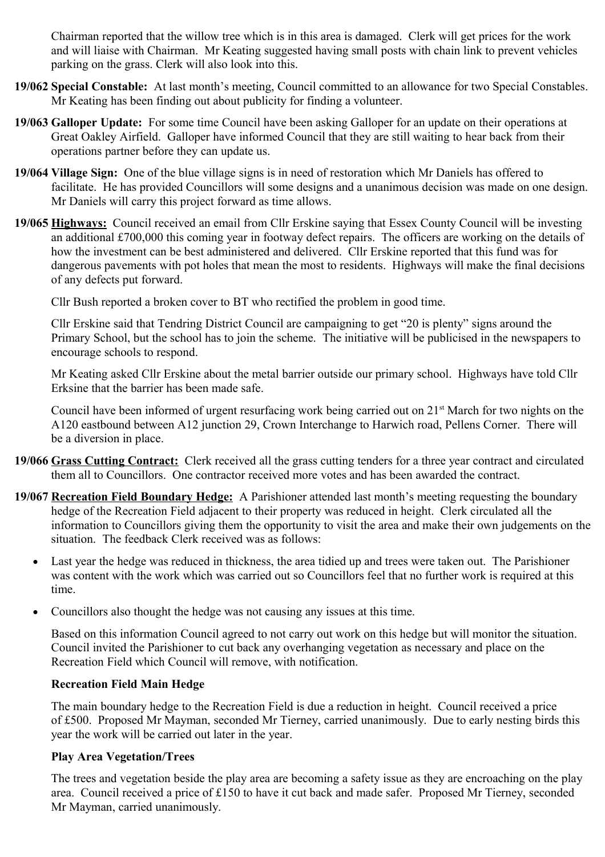Chairman reported that the willow tree which is in this area is damaged. Clerk will get prices for the work and will liaise with Chairman. Mr Keating suggested having small posts with chain link to prevent vehicles parking on the grass. Clerk will also look into this.

- **19/062 Special Constable:** At last month's meeting, Council committed to an allowance for two Special Constables. Mr Keating has been finding out about publicity for finding a volunteer.
- **19/063 Galloper Update:** For some time Council have been asking Galloper for an update on their operations at Great Oakley Airfield. Galloper have informed Council that they are still waiting to hear back from their operations partner before they can update us.
- **19/064 Village Sign:** One of the blue village signs is in need of restoration which Mr Daniels has offered to facilitate. He has provided Councillors will some designs and a unanimous decision was made on one design. Mr Daniels will carry this project forward as time allows.
- **19/065 Highways:** Council received an email from Cllr Erskine saying that Essex County Council will be investing an additional £700,000 this coming year in footway defect repairs. The officers are working on the details of how the investment can be best administered and delivered. Cllr Erskine reported that this fund was for dangerous pavements with pot holes that mean the most to residents. Highways will make the final decisions of any defects put forward.

Cllr Bush reported a broken cover to BT who rectified the problem in good time.

Cllr Erskine said that Tendring District Council are campaigning to get "20 is plenty" signs around the Primary School, but the school has to join the scheme. The initiative will be publicised in the newspapers to encourage schools to respond.

Mr Keating asked Cllr Erskine about the metal barrier outside our primary school. Highways have told Cllr Erksine that the barrier has been made safe.

Council have been informed of urgent resurfacing work being carried out on 21<sup>st</sup> March for two nights on the A120 eastbound between A12 junction 29, Crown Interchange to Harwich road, Pellens Corner. There will be a diversion in place.

- **19/066 Grass Cutting Contract:** Clerk received all the grass cutting tenders for a three year contract and circulated them all to Councillors. One contractor received more votes and has been awarded the contract.
- **19/067 Recreation Field Boundary Hedge:** A Parishioner attended last month's meeting requesting the boundary hedge of the Recreation Field adjacent to their property was reduced in height. Clerk circulated all the information to Councillors giving them the opportunity to visit the area and make their own judgements on the situation. The feedback Clerk received was as follows:
	- Last year the hedge was reduced in thickness, the area tidied up and trees were taken out. The Parishioner was content with the work which was carried out so Councillors feel that no further work is required at this time.
	- Councillors also thought the hedge was not causing any issues at this time.

Based on this information Council agreed to not carry out work on this hedge but will monitor the situation. Council invited the Parishioner to cut back any overhanging vegetation as necessary and place on the Recreation Field which Council will remove, with notification.

## **Recreation Field Main Hedge**

The main boundary hedge to the Recreation Field is due a reduction in height. Council received a price of £500. Proposed Mr Mayman, seconded Mr Tierney, carried unanimously. Due to early nesting birds this year the work will be carried out later in the year.

## **Play Area Vegetation/Trees**

The trees and vegetation beside the play area are becoming a safety issue as they are encroaching on the play area. Council received a price of £150 to have it cut back and made safer. Proposed Mr Tierney, seconded Mr Mayman, carried unanimously.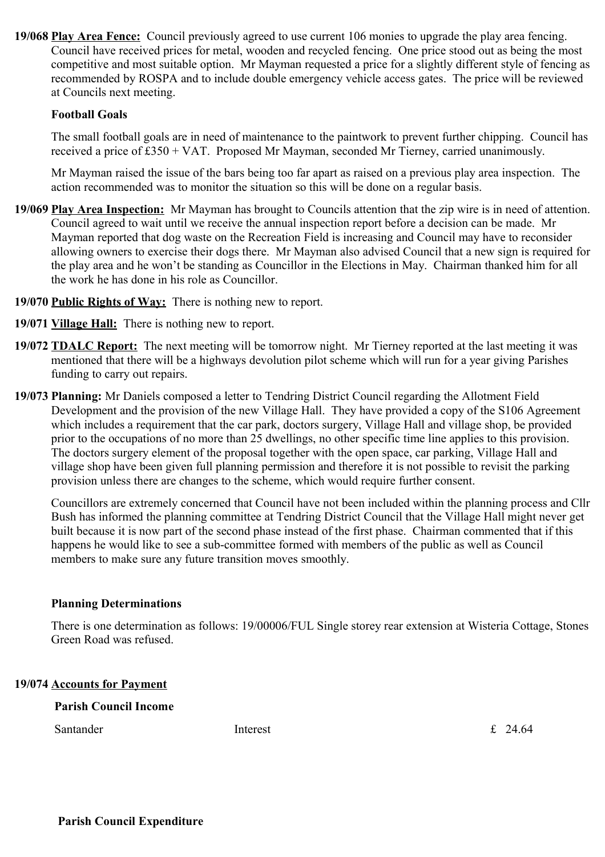**19/068 Play Area Fence:** Council previously agreed to use current 106 monies to upgrade the play area fencing. Council have received prices for metal, wooden and recycled fencing. One price stood out as being the most competitive and most suitable option. Mr Mayman requested a price for a slightly different style of fencing as recommended by ROSPA and to include double emergency vehicle access gates. The price will be reviewed at Councils next meeting.

#### **Football Goals**

The small football goals are in need of maintenance to the paintwork to prevent further chipping. Council has received a price of £350 + VAT. Proposed Mr Mayman, seconded Mr Tierney, carried unanimously.

Mr Mayman raised the issue of the bars being too far apart as raised on a previous play area inspection. The action recommended was to monitor the situation so this will be done on a regular basis.

- **19/069 Play Area Inspection:** Mr Mayman has brought to Councils attention that the zip wire is in need of attention. Council agreed to wait until we receive the annual inspection report before a decision can be made. Mr Mayman reported that dog waste on the Recreation Field is increasing and Council may have to reconsider allowing owners to exercise their dogs there. Mr Mayman also advised Council that a new sign is required for the play area and he won't be standing as Councillor in the Elections in May. Chairman thanked him for all the work he has done in his role as Councillor.
- **19/070 Public Rights of Way:** There is nothing new to report.
- **19/071 Village Hall:** There is nothing new to report.
- **19/072 TDALC Report:** The next meeting will be tomorrow night. Mr Tierney reported at the last meeting it was mentioned that there will be a highways devolution pilot scheme which will run for a year giving Parishes funding to carry out repairs.
- **19/073 Planning:** Mr Daniels composed a letter to Tendring District Council regarding the Allotment Field Development and the provision of the new Village Hall. They have provided a copy of the S106 Agreement which includes a requirement that the car park, doctors surgery, Village Hall and village shop, be provided prior to the occupations of no more than 25 dwellings, no other specific time line applies to this provision. The doctors surgery element of the proposal together with the open space, car parking, Village Hall and village shop have been given full planning permission and therefore it is not possible to revisit the parking provision unless there are changes to the scheme, which would require further consent.

Councillors are extremely concerned that Council have not been included within the planning process and Cllr Bush has informed the planning committee at Tendring District Council that the Village Hall might never get built because it is now part of the second phase instead of the first phase. Chairman commented that if this happens he would like to see a sub-committee formed with members of the public as well as Council members to make sure any future transition moves smoothly.

#### **Planning Determinations**

There is one determination as follows: 19/00006/FUL Single storey rear extension at Wisteria Cottage, Stones Green Road was refused.

#### **19/074 Accounts for Payment**

**Parish Council Income**

Santander **Interest** Interest **E** 24.64